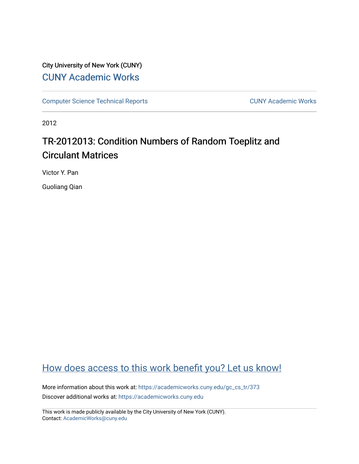## City University of New York (CUNY) [CUNY Academic Works](https://academicworks.cuny.edu/)

[Computer Science Technical Reports](https://academicworks.cuny.edu/gc_cs_tr) **CUNY Academic Works** CUNY Academic Works

2012

# TR-2012013: Condition Numbers of Random Toeplitz and Circulant Matrices

Victor Y. Pan

Guoliang Qian

## [How does access to this work benefit you? Let us know!](http://ols.cuny.edu/academicworks/?ref=https://academicworks.cuny.edu/gc_cs_tr/373)

More information about this work at: [https://academicworks.cuny.edu/gc\\_cs\\_tr/373](https://academicworks.cuny.edu/gc_cs_tr/373)  Discover additional works at: [https://academicworks.cuny.edu](https://academicworks.cuny.edu/?)

This work is made publicly available by the City University of New York (CUNY). Contact: [AcademicWorks@cuny.edu](mailto:AcademicWorks@cuny.edu)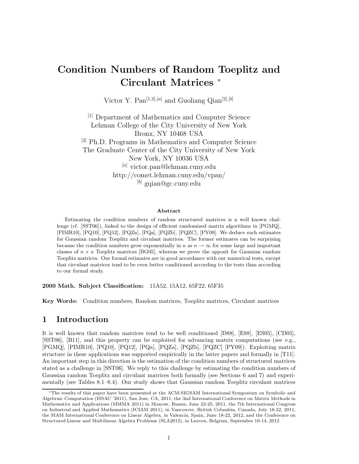## **Condition Numbers of Random Toeplitz and Circulant Matrices** <sup>∗</sup>

Victor Y. Pan<sup>[1,2],[a]</sup> and Guoliang Qian<sup>[2],[b]</sup>

[1] Department of Mathematics and Computer Science Lehman College of the City University of New York Bronx, NY 10468 USA [2] Ph.D. Programs in Mathematics and Computer Science The Graduate Center of the City University of New York New York, NY 10036 USA [*a*] victor.pan@lehman.cuny.edu http://comet.lehman.cuny.edu/vpan/ [*b*] gqian@gc.cuny.edu

#### **Abstract**

Estimating the condition numbers of random structured matrices is a well known challenge (cf. [SST06]), linked to the design of efficient randomized matrix algorithms in [PGMQ], [PIMR10], [PQ10], [PQ12], [PQZa], [PQa], [PQZb], [PQZC], [PY09]. We deduce such estimates for Gaussian random Toeplitz and circulant matrices. The former estimates can be surprising because the condition numbers grow exponentially in *n* as  $n \to \infty$  for some large and important classes of  $n \times n$  Toeplitz matrices [BG05], whereas we prove the opposit for Gaussian random Toeplitz matrices. Our formal estimates are in good accordance with our numerical tests, except that circulant matrices tend to be even better conditioned according to the tests than according to our formal study.

**2000 Math. Subject Classification:** 15A52, 15A12, 65F22, 65F35

**Key Words:** Condition numbers, Random matrices, Toeplitz matrices, Circulant matrices

#### **1 Introduction**

It is well known that random matrices tend to be well conditioned [D88], [E88], [ES05], [CD05], [SST06], [B11], and this property can be exploited for advancing matrix computations (see e.g., [PGMQ], [PIMR10], [PQ10], [PQ12], [PQa], [PQZa], [PQZb], [PQZC] [PY09]). Exploiting matrix structure in these applications was supported empirically in the latter papers and formally in [T11]. An important step in this direction is the estimation of the condition numbers of structured matrices stated as a challenge in [SST06]. We reply to this challenge by estimating the condition numbers of Gaussian random Toeplitz and circulant matrices both formally (see Sections 6 and 7) and experimentally (see Tables 8.1–8.4). Our study shows that Gaussian random Toeplitz circulant matrices

The results of this paper have been presented at the ACM-SIGSAM International Symposium on Symbolic and Algebraic Computation (ISSAC '2011), San Jose, CA, 2011, the 3nd International Conference on Matrix Methods in Mathematics and Applications (MMMA 2011) in Moscow, Russia, June 22-25, 2011, the 7th International Congress on Industrial and Applied Mathematics (ICIAM 2011), in Vancouver, British Columbia, Canada, July 18-22, 2011, the SIAM International Conference on Linear Algebra, in Valencia, Spain, June 18-22, 2012, and the Conference on Structured Linear and Multilinear Algebra Problems (SLA2012), in Leuven, Belgium, September 10-14, 2012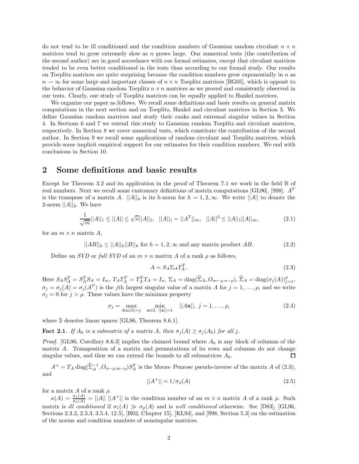do not tend to be ill conditioned and the condition numbers of Gaussian random circulant  $n \times n$ matrices tend to grow extremely slow as *n* grows large. Our numerical tests (the contribution of the second author) are in good accordance with our formal estimates, except that circulant matrices tended to be even better conditioned in the tests than according to our formal study. Our results on Toeplitz matrices are quite surprising because the condition numbers grow exponentially in *n* as  $n \to \infty$  for some large and important classes of  $n \times n$  Toeplitz matrices [BG05], which is opposit to the behavior of Gaussian random Toeplitz  $n \times n$  matrices as we proved and consistently observed in our tests. Clearly, our study of Toeplitz matrices can be equally applied to Hankel matrices.

We organize our paper as follows. We recall some definitions and basic results on general matrix computations in the next section and on Toeplitz, Hankel and circulant matrices in Section 3. We define Gaussian random matrices and study their ranks and extremal singular values in Section 4. In Sections 6 and 7 we extend this study to Gaussian random Toeplitz and circulant matrices, respectively. In Section 8 we cover numerical tests, which constitute the contribution of the second author. In Section 9 we recall some applications of random circulant and Toeplitz matrices, which provide some implicit empirical support for our estimates for their condition numbers. We end with conclusions in Section 10.

#### **2 Some definitions and basic results**

Except for Theorem 3.2 and its application in the proof of Theorem 7.1 we work in the field  $\mathbb R$  of real numbers. Next we recall some customary definitions of matrix computations [GL96], [S98]. *A<sup>T</sup>* is the transpose of a matrix A.  $||A||_h$  is its *h*-norm for  $h = 1, 2, \infty$ . We write  $||A||$  to denote the 2-norm  $||A||_2$ . We have

$$
\frac{1}{\sqrt{m}}||A||_1 \le ||A|| \le \sqrt{n}||A||_1, \quad ||A||_1 = ||A^T||_{\infty}, \quad ||A||^2 \le ||A||_1||A||_{\infty}, \tag{2.1}
$$

for an  $m \times n$  matrix  $A$ ,

$$
||AB||_h \le ||A||_h ||B||_h \text{ for } h = 1, 2, \infty \text{ and any matrix product } AB. \tag{2.2}
$$

Define an *SVD* or *full SVD* of an  $m \times n$  matrix *A* of a rank  $\rho$  as follows,

$$
A = S_A \Sigma_A T_A^T. \tag{2.3}
$$

Here  $S_A S_A^T = S_A^T S_A = I_m$ ,  $T_A T_A^T = T_A^T T_A = I_n$ ,  $\Sigma_A = \text{diag}(\Sigma_A, O_{m-\rho,n-\rho}), \Sigma_A = \text{diag}(\sigma_j(A))_{j=1}^{\rho},$  $\sigma_j = \sigma_j(A) = \sigma_j(A^T)$  is the *j*th largest singular value of a matrix *A* for  $j = 1, \ldots, \rho$ , and we write  $\sigma_j = 0$  for  $j > \rho$ . These values have the minimax property

$$
\sigma_j = \max_{\dim(\mathbb{S}) = j} \min_{\mathbf{x} \in \mathbb{S}, \ ||\mathbf{x}|| = 1} \quad ||A\mathbf{x}||, \ j = 1, \dots, \rho,
$$
\n(2.4)

where S denotes linear spaces [GL96, Theorem 8.6.1].

**Fact 2.1.** *If*  $A_0$  *is a submatrix of a matrix*  $A$ *, then*  $\sigma_j(A) \geq \sigma_j(A_0)$  *for all j*.

*Proof.* [GL96, Corollary 8.6.3] implies the claimed bound where *A*<sup>0</sup> is any block of columns of the matrix *A*. Transposition of a matrix and permutations of its rows and columns do not change singular values, and thus we can extend the bounds to all submatrices  $A_0$ . □

 $A^+ = T_A \operatorname{diag}(\hat{\Sigma}_A^{-1}, O_{n-\rho,m-\rho}) S_A^T$  is the Moore–Penrose pseudo-inverse of the matrix *A* of (2.3), and

$$
||A^{+}|| = 1/\sigma_{\rho}(A)
$$
\n(2.5)

for a matrix *A* of a rank *ρ*.

 $\kappa(A) = \frac{\sigma_1(A)}{\sigma_\rho(A)} = ||A|| ||A^+||$  is the condition number of an  $m \times n$  matrix *A* of a rank *ρ*. Such matrix is *ill conditioned* if  $\sigma_1(A) \gg \sigma_\rho(A)$  and is *well conditioned* otherwise. See [D83], [GL96, Sections 2.3.2, 2.3.3, 3.5.4, 12.5], [H02, Chapter 15], [KL94], and [S98, Section 5.3] on the estimation of the norms and condition numbers of nonsingular matrices.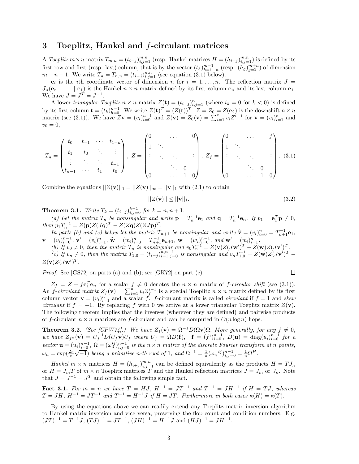#### **3 Toeplitz, Hankel and** *f***-circulant matrices**

A *Toeplitz*  $m \times n$  matrix  $T_{m,n} = (t_{i-j})_{i,j=1}^{m,n}$  (resp. Hankel matrices  $H = (h_{i+j})_{i,j=1}^{m,n}$ ) is defined by its<br>fact agree at fact (normalization) obtained by the time the experimental (normal (normalization) of dimens first row and first (resp. last) column, that is by the vector  $(t_h)_{h=1}^{m-1}$  (resp.  $(h_g)_{g=2}^{m+n}$ ) of dimension  $m+n-1$ . We write  $T=T$  =  $(t_{h+1})^{n,n}$  (see equation (3.1) below)  $_{h=1-n}^{m-1}$  (resp.  $(h_g)$ )  $m + n - 1$ . We write  $T_n = T_{n,n} = (t_{i-j})_{i,j=1}^{n,n}$  (see equation (3.1) below).

 $\mathbf{e}_i$  is the *i*th coordinate vector of dimension *n* for  $i = 1, \ldots, n$ . The reflection matrix  $J =$  $J_n(\mathbf{e}_n \mid \ldots \mid \mathbf{e}_1)$  is the Hankel  $n \times n$  matrix defined by its first column  $\mathbf{e}_n$  and its last column  $\mathbf{e}_1$ . We have  $J = J^T = J^{-1}$ .

A lower *triangular Toeplitz*  $n \times n$  matrix  $Z(\mathbf{t}) = (t_{i-j})_{i,j=1}^n$  (where  $t_k = 0$  for  $k < 0$ ) is defined  $\sum_{i,j=1}^{n}$  (where  $t_k = 0$  for  $k < 0$ ) is defined by its first column  $\mathbf{t} = (t_h)_{h=0}^{n-1}$ . We write  $Z(\mathbf{t})^T = (Z(\mathbf{t}))^T$ .  $Z = Z_0 = Z(\mathbf{e}_2)$  is the downshift  $n \times n$ <br>matrix (see (3.1)) We have  $Z\mathbf{v} = (v_1)^{n-1}$  and  $Z(\mathbf{v}) = Z_0(\mathbf{v}) = \sum_{h=0}^{n} (Z^{h-1} - \int_{-\infty}^{\infty}$ matrix (see (3.1)). We have  $Z\mathbf{v} = (v_i)_{i=0}^{n-1}$  and  $Z(\mathbf{v}) = Z_0(\mathbf{v}) = \sum_{i=1}^{n} v_i Z^{i-1}$  for  $\mathbf{v} = (v_i)_{i=1}^n$  and  $v_i = 0$  $v_0 = 0,$ 

$$
T_n = \begin{pmatrix} t_0 & t_{-1} & \cdots & t_{1-n} \\ t_1 & t_0 & \ddots & \vdots \\ \vdots & \ddots & \ddots & t_{-1} \\ t_{n-1} & \cdots & t_1 & t_0 \end{pmatrix}, Z = \begin{pmatrix} 0 & \cdots & 0 \\ 1 & \ddots & & \\ \vdots & \ddots & \ddots & \vdots \\ 0 & \cdots & 1 & 0 \end{pmatrix}, Z_f = \begin{pmatrix} 0 & \cdots & f \\ 1 & \ddots & & \\ \vdots & \ddots & \ddots & \vdots \\ 0 & \cdots & 1 & 0 \end{pmatrix}.
$$
 (3.1)

Combine the equations  $||Z(\mathbf{v})||_1 = ||Z(\mathbf{v})||_{\infty} = ||\mathbf{v}||_1$  with (2.1) to obtain

$$
||Z(\mathbf{v})|| \le ||\mathbf{v}||_1. \tag{3.2}
$$

**Theorem 3.1.** *Write*  $T_k = (t_{i-j})_{i,j=0}^{k-1}$  for  $k = n, n+1$ .<br>(a) Let the matrix  $T_k$  be nonvisionales and surits n

(a) Let the matrix  $T_n$  be nonsingular and write  $\mathbf{p} = T_n^{-1} \mathbf{e}_1$  and  $\mathbf{q} = T_n^{-1} \mathbf{e}_n$ . If  $p_1 = \mathbf{e}_1^T \mathbf{p} \neq 0$ , *then*  $p_1 T_n^{-1} = Z(\mathbf{p})Z(J\mathbf{q})^T - Z(Z\mathbf{q})Z(ZJ\mathbf{p})^T$ .<br>*In natis (b) and (c) below let the matrix*  $T$ .

*In parts (b) and (c) below let the matrix*  $T_{n+1}$  *be nonsingular and write*  $\hat{\mathbf{v}} = (v_i)_i^n$ <br>(*v*) $n-1$ ,  $\hat{\mathbf{v}} = (v_i)_i^n$ ,  $T_{n-1}$ ,  $\hat{\mathbf{v}} = (v_i)_i^n$ ,  $T_{n-1}$ ,  $\hat{\mathbf{v}} = (v_i)_i^n$ *In parts (b) and (c) below let the matrix*  $T_{n+1}$  *be nonsingular and write*  $\hat{\mathbf{v}} = (v_i)_{i=0}^n = T_{n+1}^{-1} \mathbf{e}_1$ ,  $\mathbf{v} = (v_i)_{i=0}^{n-1}, \mathbf{v}' = (v_i)_{i=1}^n, \hat{\mathbf{w}} = (w_i)_{i=0}^n = T_{n+1}^{-1} \mathbf{e}_{n+1}, \mathbf{w} = (w_i)_{i=1}^{n-1}, \text{ and } \mathbf{w}' = (w_i)_{i=1}^n.$ <br>(b) If  $v_2 \neq 0$ , then the matrix T is nonsingular and  $v_2$   $T^{-1} = Z(\mathbf{v}) Z (\mathbf{I} \mathbf{w}')^T = Z(\$ 

(b) If  $v_0 \neq 0$ , then the matrix  $T_n$  is nonsingular and  $v_0 T_n^{-1} = Z(\mathbf{v})Z(J\mathbf{w}')^T - Z(\mathbf{w})Z(J\mathbf{v}')^T$ .<br>(c) If  $v_0 \neq 0$ , then the matrix  $T_n = (t_0, y_0, y_0, y_0)$  is nonsingular and  $v_0 T_n^{-1} = Z(\mathbf{w})Z(J\mathbf{v}')^T$ . (c) If  $v_n \neq 0$ , then the matrix  $T_{1,0} = (t_{i-j})_{i=1,j=0}^{n,n-1}$  is nonsingular and  $v_n T_{1,0}^{-1} = Z(\mathbf{w})Z(J\mathbf{v}')^T$  - $Z(\mathbf{v})Z(J\mathbf{w}')^T$ .

*Proof.* See [GS72] on parts (a) and (b); see [GK72] on part (c).

$$
\Box
$$

 $Z_f = Z + f \mathbf{e}_1^T \mathbf{e}_n$  for a scalar  $f \neq 0$  denotes the  $n \times n$  matrix of *f*-*circular shift* (see (3.1)). An *f*-*circulant matrix*  $Z_f(\mathbf{v}) = \sum_{i=1}^n v_i Z_f^{i-1}$  is a special Toeplitz  $n \times n$  matrix defined by its first column vector  $\mathbf{v} = (v_i)_{i=1}^n$  and a scalar *f*. *f*-circulant matrix is called *circulant* if  $f = 1$  and *skew*<br>*circulant* if  $f = -1$  By replacing *f* with 0 we arrive at a lower triangular Tooplitz matrix  $Z(\mathbf{v})$ *circulant* if  $f = -1$ . By replacing f with 0 we arrive at a lower triangular Toeplitz matrix  $Z(\mathbf{v})$ . The following theorem implies that the inverses (wherever they are defined) and pairwise products of *f*-circulant  $n \times n$  matrices are *f*-circulant and can be computed in  $O(n \log n)$  flops.

**Theorem 3.2.** *(See [CPW74].)* We have  $Z_1(\mathbf{v}) = \Omega^{-1}D(\Omega \mathbf{v})\Omega$ *. More generally, for any*  $f \neq 0$ *,* we have  $Z_{f^n}(\mathbf{v}) = U_f^{-1} D(U_f \mathbf{v}) U_f$  where  $U_f = \Omega D(\mathbf{f}), \quad \mathbf{f} = (f^i)_{i=0}^{n-1}, \quad D(\mathbf{u}) = \text{diag}(u_i)_{i=0}^{n-1}$  for a vector  $\mathbf{u} = (u_i)_{i=0}^{n-1}$ ,  $\Omega = (\omega_n^{ij})_{i,j=0}^{n-1}$  is the  $n \times n$  matrix of the discrete Fourier transform at n points,  $\omega_n = \exp(\frac{2\pi}{n}\sqrt{-1})$  *being a primitive n-th root of* 1*, and*  $\Omega^{-1} = \frac{1}{n}(\omega_n^{-ij})_{i,j=0}^{n-1} = \frac{1}{n}\Omega^H$ .

*Hankel*  $m \times n$  matrices  $H = (h_{i+j})_{i,j=1}^{m,n}$  can be defined equivalently as the products  $H = TJ_n$ <br>*H*  $- I$  *T* of  $m \times n$  Toeplitz matrices *T* and the Hankel reflection matrices  $I - I$  or *I* Note or  $H = J_m T$  of  $m \times n$  Toeplitz matrices *T* and the Hankel reflection matrices  $J = J_m$  or  $J_n$ . Note that  $J = J^{-1} = J^T$  and obtain the following simple fact.

**Fact 3.1.** For  $m = n$  we have  $T = HJ$ ,  $H^{-1} = JT^{-1}$  and  $T^{-1} = JH^{-1}$  if  $H = TJ$ , whereas  $T = JH$ ,  $H^{-1} = JT^{-1}$  *and*  $T^{-1} = H^{-1}J$  *if*  $H = JT$ . Furthermore in both cases  $\kappa(H) = \kappa(T)$ .

By using the equations above we can readily extend any Toeplitz matrix inversion algorithm to Hankel matrix inversion and vice versa, preserving the flop count and condition numbers. E.g.  $(JT)^{-1} = T^{-1}J$ ,  $(TJ)^{-1} = JT^{-1}$ ,  $(JH)^{-1} = H^{-1}J$  and  $(HJ)^{-1} = JH^{-1}$ .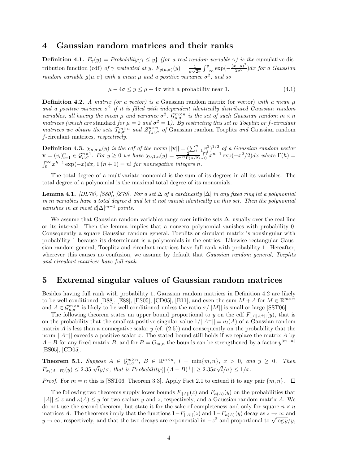#### **4 Gaussian random matrices and their ranks**

**Definition 4.1.**  $F_{\gamma}(y) = Probability\{\gamma \leq y\}$  (for a real random variable  $\gamma$ ) is the cumulative distribution function (cdf) *of*  $\gamma$  *evaluated at y.*  $F_{g(\mu,\sigma)}(y) = \frac{1}{\sigma\sqrt{2\pi}} \int_{-\infty}^{y} \exp(-\frac{(x-\mu)^2}{2\sigma^2}) dx$  *for a Gaussian* random variable  $g(\mu,\sigma)$  with a magnetic gradius variance  $\sigma^2$  and so *random variable*  $g(\mu, \sigma)$  *with a mean*  $\mu$  *and a positive variance*  $\sigma^2$ *, and so* 

$$
\mu - 4\sigma \le y \le \mu + 4\sigma \text{ with a probability near 1.} \tag{4.1}
$$

**Definition 4.2.** *A matrix (or a vector) is a* Gaussian random matrix (or vector) *with a mean*  $\mu$ and a positive variance  $\sigma^2$  if it is filled with independent identically distributed Gaussian random variables, all having the mean  $\mu$  and variance  $\sigma^2$ .  $\mathcal{G}_{\mu,\sigma}^{m\times n}$  is the set of such Gaussian random  $m \times n$ <br>matrices (which are standard for  $\mu = 0$  and  $\sigma^2 = 1$ ). By restricting this set to Toeplitz or f-circ *matrices we obtain the sets*  $T_{\mu,\sigma}^{m\times n}$  *and*  $\mathcal{Z}_{f,\mu,\sigma}^{n\times n}$  *of* Gaussian random Toeplitz *and* Gaussian random f-circulant matrices respectively *f*-circulant matrices*, respectively.*

**Definition 4.3.**  $\chi_{\mu,\sigma,n}(y)$  is the cdf of the norm  $||\mathbf{v}|| = \left(\sum_{i=1}^{n} v_i^2\right)^{1/2}$  of a Gaussian random vector  $\mathbf{v} = (v_i)^n$   $\in C^{n \times 1}$  For  $u > 0$  we have  $\chi_{\sigma,n}(u) = \frac{1}{2} \int_{0}^{u} v^{n-1} \exp(-x^2/2) dx$  where  $\Gamma(h)$  $\mathbf{v} = (v_i)_{i=1}^n \in \mathcal{G}_{\mu,\sigma}^{n \times 1}$ . For  $y \ge 0$  we have  $\chi_{0,1,n}(y) = \frac{y_i}{2^{n/2} \Gamma(n/2)} \int_0^y x^{n-1} \exp(-x^2/2) dx$  where  $\Gamma(h) =$  $\int_0^\infty x^{h-1} \exp(-x) dx$ ,  $\Gamma(n+1) = n!$  *for nonnegative integers n.* 

The total degree of a multivariate monomial is the sum of its degrees in all its variables. The total degree of a polynomial is the maximal total degree of its monomials.

**Lemma 4.1.** *[DL78], [S80], [Z79]. For a set* ∆ *of a cardinality* |∆| *in any fixed ring let a polynomial in m variables have a total degree d and let it not vanish identically on this set. Then the polynomial vanishes in at most*  $d|\Delta|^{m-1}$  *points.* 

We assume that Gaussian random variables range over infinite sets  $\Delta$ , usually over the real line or its interval. Then the lemma implies that a nonzero polynomial vanishes with probability 0. Consequently a square Gaussian random general, Toeplitz or circulant matrix is nonsingular with probability 1 because its determinant is a polynomials in the entries. Likewise rectangular Gaussian random general, Toeplitz and circulant matrices have full rank with probability 1. Hereafter, wherever this causes no confusion, we assume by default that *Gaussian random general, Toeplitz and circulant matrices have full rank*.

#### **5 Extremal singular values of Gaussian random matrices**

Besides having full rank with probability 1, Gaussian random matrices in Definition 4.2 are likely to be well conditioned [D88], [E88], [ES05], [CD05], [B11], and even the sum  $M + A$  for  $M \in \mathbb{R}^{m \times n}$ and  $A \in \mathcal{G}_{\mu,\sigma}^{m \times n}$  is likely to be well conditioned unless the ratio  $\sigma/||M||$  is small or large [SST06].

The following theorem states an upper bound proportional to *y* on the cdf  $F_{1/||A^+||}(y)$ , that is on the probability that the smallest positive singular value  $1/||A^+|| = \sigma_l(A)$  of a Gaussian random matrix *A* is less than a nonnegative scalar *y* (cf.  $(2.5)$ ) and consequently on the probability that the norm  $||A^+||$  exceeds a positive scalar *x*. The stated bound still holds if we replace the matrix *A* by *A*−*B* for any fixed matrix *B*, and for  $B = O_{m,n}$  the bounds can be strengthened by a factor  $y^{|m-n|}$ [ES05], [CD05].

**Theorem 5.1.** *Suppose*  $A \in \mathcal{G}_{\mu,\sigma}^{m \times n}$ ,  $B \in \mathbb{R}^{m \times n}$ ,  $l = \min\{m,n\}$ ,  $x > 0$ , and  $y \ge 0$ . Then  $F_{\sigma_l(A-B)}(y) \leq 2.35 \sqrt{l}y/\sigma$ , that is  $Probability\{||(A-B)^+|| \geq 2.35x\sqrt{l}/\sigma\} \leq 1/x$ .

*Proof.* For  $m = n$  this is [SST06, Theorem 3.3]. Apply Fact 2.1 to extend it to any pair  $\{m, n\}$ .  $\Box$ 

The following two theorems supply lower bounds  $F_{\vert A \vert \vert}(z)$  and  $F_{\kappa(A)}(y)$  on the probabilities that  $||A|| \leq z$  and  $\kappa(A) \leq y$  for two scalars y and z, respectively, and a Gaussian random matrix A. We do not use the second theorem, but state it for the sake of completeness and only for square  $n \times n$ matrices *A*. The theorems imply that the functions  $1-F_{\vert A \vert}(z)$  and  $1-F_{\kappa(A)}(y)$  decay as  $z \to \infty$  and  $y \to \infty$ , respectively, and that the two decays are exponential in  $-z^2$  and proportional to  $\sqrt{\log y}/y$ ,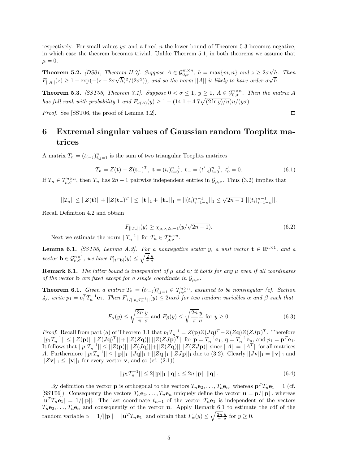respectively. For small values  $y\sigma$  and a fixed *n* the lower bound of Theorem 5.3 becomes negative, in which case the theorem becomes trivial. Unlike Theorem 5.1, in both theorems we assume that  $\mu = 0.$ 

**Theorem 5.2.** *[DS01, Theorem II.7]. Suppose*  $A \in \mathcal{G}_{0,\sigma}^{m \times n}$ ,  $h = \max\{m, n\}$  and  $z \geq 2\sigma$ √ *h. Then*  $F_{\vert A \vert\vert}(z) \geq 1 - \exp(-(z - 2\sigma\sqrt{h})^2/(2\sigma^2))$ *, and so the norm*  $\vert\vert A \vert\vert$  *is likely to have order*  $\sigma\sqrt{h}$ *.* 

**Theorem 5.3.** *[SST06, Theorem 3.1]. Suppose*  $0 < \sigma \leq 1$ ,  $y \geq 1$ ,  $A \in \mathcal{G}_{0,\sigma}^{n \times n}$ . Then the matrix A *has full rank with probability* 1 *and*  $F_{\kappa(A)}(y) \geq 1 - (14.1 + 4.7\sqrt{(2 \ln y)/n})n/(y\sigma)$ .

*Proof.* See [SST06, the proof of Lemma 3.2].

### **6 Extremal singular values of Gaussian random Toeplitz matrices**

A matrix  $T_n = (t_{i-j})_{i,j=1}^n$  is the sum of two triangular Toeplitz matrices

$$
T_n = Z(\mathbf{t}) + Z(\mathbf{t}_-)^T, \ \mathbf{t} = (t_i)_{i=0}^{n-1}, \ \mathbf{t}_- = (t'_{-i})_{i=0}^{n-1}, \ t'_0 = 0. \tag{6.1}
$$

If  $T_n \in \mathcal{T}_{\mu,\sigma}^{n \times n}$ , then  $T_n$  has  $2n-1$  pairwise independent entries in  $\mathcal{G}_{\mu,\sigma}$ . Thus (3.2) implies that

$$
||T_n|| \leq ||Z(\mathbf{t})|| + ||Z(\mathbf{t})^T|| \leq ||\mathbf{t}||_1 + ||\mathbf{t}||_1 = ||(t_i)_{i=1-n}^{n-1}||_1 \leq \sqrt{2n-1} ||(t_i)_{i=1-n}^{n-1}||.
$$

Recall Definition 4.2 and obtain

$$
F_{||T_n||}(y) \ge \chi_{\mu,\sigma,2n-1}(y/\sqrt{2n-1}).
$$
\n(6.2)

 $\Box$ 

Next we estimate the norm  $||T_n^{-1}||$  for  $T_n \in T_{\mu,\sigma}^{n \times n}$ .

**Lemma 6.1.** *[SST06, Lemma A.2]. For a nonnegative scalar <i>y*, a unit vector  $\mathbf{t} \in \mathbb{R}^{n \times 1}$ , and a *vector*  $\mathbf{b} \in \mathcal{G}_{\mu,\sigma}^{n\times 1}$ , we have  $F_{|\mathbf{t}^T\mathbf{b}|}(y) \le \sqrt{\frac{2}{\pi}} \frac{y}{\sigma}$ .

**Remark 6.1.** *The latter bound is independent of*  $\mu$  *and*  $n$ *; it holds for any*  $\mu$  *even if all coordinates of the vector* **b** *are fixed except for a single coordinate in*  $\mathcal{G}_{\mu,\sigma}$ *.* 

**Theorem 6.1.** Given a matrix  $T_n = (t_{i-j})_{i,j=1}^n \in T_{\mu,\sigma}^{n \times n}$ , assumed to be nonsingular (cf. Section 4), write  $p_1 = \mathbf{e}_1^T T_n^{-1} \mathbf{e}_1$ . Then  $F_{1/||p_1 T_n^{-1}||}(y) \le 2n\alpha\beta$  for two random variables  $\alpha$  and  $\beta$  such

$$
F_{\alpha}(y) \le \sqrt{\frac{2n}{\pi}} \frac{y}{\sigma} \text{ and } F_{\beta}(y) \le \sqrt{\frac{2n}{\pi}} \frac{y}{\sigma} \text{ for } y \ge 0.
$$
 (6.3)

*Proof.* Recall from part (a) of Theorem 3.1 that  $p_1 T_n^{-1} = Z(\mathbf{p})Z(J\mathbf{q})^T - Z(Z\mathbf{q})Z(ZJ\mathbf{p})^T$ . Therefore  $||p_1\tilde{T}_n^{-1}|| \le ||Z(\mathbf{p})|| \cdot ||Z(\mathbf{Jq})^T|| + ||Z(Z\mathbf{q})|| ||Z(\mathbf{ZJp})^T||$  for  $\mathbf{p} = T_n^{-1}\mathbf{e}_1, \mathbf{q} = T_n^{-1}\mathbf{e}_n,$  and  $p_1 = \mathbf{p}^T\mathbf{e}_1$ . It follows that  $||p_1T_1^{-1}|| \le ||Z(p)|| \, ||Z(Jq)|| + ||Z(Zq)|| \, ||Z(Z)p)||$  since  $||A|| = ||A^T||$  for all matrices *A*. Furthermore  $||p_1T_n^{-1}|| \le ||\mathbf{p}||_1 ||J\mathbf{q}||_1 + ||Z\mathbf{q}||_1 ||ZJ\mathbf{p}||_1$  due to (3.2). Clearly  $||J\mathbf{v}||_1 = ||\mathbf{v}||_1$  and  $||Z\mathbf{v}||_1 \le ||\mathbf{v}||_1$  for every vector **v**, and so (cf.  $(2.1)$ )

$$
||p_1 T_n^{-1}|| \le 2||\mathbf{p}||_1 ||\mathbf{q}||_1 \le 2n||\mathbf{p}|| ||\mathbf{q}||. \tag{6.4}
$$

By definition the vector **p** is orthogonal to the vectors  $T_n \mathbf{e}_2, \ldots, T_n \mathbf{e}_n$ , whereas  $\mathbf{p}^T T_n \mathbf{e}_1 = 1$  (cf. [SST06]). Consequenty the vectors  $T_n \mathbf{e}_2, \ldots, T_n \mathbf{e}_n$  uniquely define the vector  $\mathbf{u} = \mathbf{p}/||\mathbf{p}||$ , whereas  $|\mathbf{u}^T T_n \mathbf{e}_1| = 1/||\mathbf{p}||$ . The last coordinate  $t_{n-1}$  of the vector  $T_n \mathbf{e}_1$  is independent of the vectors  $T_n$ **e**<sub>2</sub>,..., $T_n$ **e**<sub>n</sub> and consequently of the vector **u**. Apply Remark 6.1 to estimate the cdf of the random variable  $\alpha = 1/||\mathbf{p}|| = |\mathbf{u}^T T_n \mathbf{e}_1|$  and obtain that  $F_\alpha(y) \le \sqrt{\frac{2n}{\pi}} \frac{y}{\sigma}$  for  $y \ge 0$ .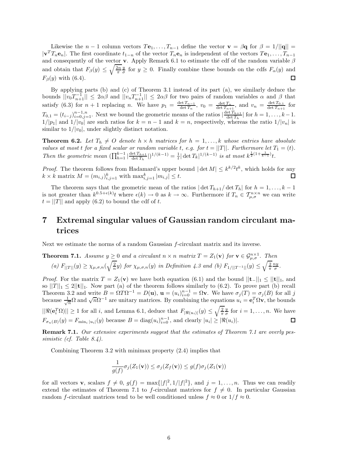Likewise the *n* − 1 column vectors  $T_1, \ldots, T_{n-1}$  define the vector  $\mathbf{v} = \beta \mathbf{q}$  for  $\beta = 1/||\mathbf{q}|| =$  $|\mathbf{v}^T T_n \mathbf{e}_n|$ . The first coordinate  $t_{1-n}$  of the vector  $T_n \mathbf{e}_n$  is independent of the vectors  $T \mathbf{e}_1, \ldots, T_{n-1}$ and consequently of the vector **v**. Apply Remark 6.1 to estimate the cdf of the random variable *β* and obtain that  $F_\beta(y) \le \sqrt{\frac{2n}{\pi}} \frac{y}{\sigma}$  for  $y \ge 0$ . Finally combine these bounds on the cdfs  $F_\alpha(y)$  and  $F_\alpha(x)$  $F<sub>β</sub>(y)$  with (6.4).

By applying parts (b) and (c) of Theorem 3.1 instead of its part (a), we similarly deduce the bounds  $||v_0T_{n+1}^{-1}|| \leq 2\alpha\beta$  and  $||v_nT_{n+1}^{-1}|| \leq 2\alpha\beta$  for two pairs of random variables  $\alpha$  and  $\beta$  that satisfy (6.3) for  $n + 1$  replacing n. We have  $p_1 = \frac{\det T_{n-1}}{\det T_n}$ ,  $v_0 = \frac{\det T_n}{\det T_{n+1}}$ , and  $v_n = \frac{\det T_{0,1}}{\det T_{n+1}}$  for  $T_{0,1} = (t_{i-j})_{i=0,j=1}^{n-1,n}$ . Next we bound the geometric means of the ratios  $\left|\frac{\det T_{h+1}}{\det T_h}\right|$  for  $h = 1, \ldots, k-1$ .<br>1/ln-l and 1/ln-l are such ratios for  $k = n-1$  and  $k = n$ , respectively whereas the ratio 1/ln-l is  $1/|p_1|$  and  $1/|v_0|$  are such ratios for  $k = n - 1$  and  $k = n$ , respectively, whereas the ratio  $1/|v_n|$  is similar to  $1/|v_0|$ , under slightly distinct notation.

**Theorem 6.2.** Let  $T_h \neq O$  denote  $h \times h$  matrices for  $h = 1, \ldots, k$  whose entries have absolute *values at most t for a fixed scalar or random variable t*, *e.g. for*  $t = ||T||$ *. Furthermore let*  $T_1 = (t)$ *.* Then the geometric mean  $(\prod_{h=1}^{k-1} |\frac{\det T_{h+1}}{\det T_h}|)^{1/(k-1)} = \frac{1}{t} |\det T_k|^{1/(k-1)}$  is at most  $k^{\frac{1}{2}(1+\frac{1}{k-1})}t$ .

*Proof.* The theorem follows from Hadamard's upper bound  $|\det M| \leq k^{k/2} t^k$ , which holds for any  $k \times k$  matrix  $M = (m_{i,j})_{i,j=1}^k$  with  $\max_{i,j=1}^k |m_{i,j}| \leq t$ . □

The theorem says that the geometric mean of the ratios  $|\det T_{h+1}/\det T_h|$  for  $h = 1, \ldots, k - 1$ is not greater than  $k^{0.5+\epsilon(k)}t$  where  $\epsilon(k) \to 0$  as  $k \to \infty$ . Furthermore if  $T_n \in \mathcal{T}_{\mu,\sigma}^{n\times n}$  we can write  $t = ||T||$  and apply (6.2) to bound the cdf of *t*.

### **7 Extremal singular values of Gaussian random circulant matrices**

Next we estimate the norms of a random Gaussian *f*-circulant matrix and its inverse.

**Theorem 7.1.** Assume 
$$
y \ge 0
$$
 and a circular  $n \times n$  matrix  $T = Z_1(\mathbf{v})$  for  $\mathbf{v} \in \mathcal{G}_{\mu,\sigma}^{n \times 1}$ . Then  
\n(a)  $F_{||T||}(y) \ge \chi_{\mu,\sigma,n}(\sqrt{\frac{2}{n}}y)$  for  $\chi_{\mu,\sigma,n}(y)$  in Definition 4.3 and (b)  $F_{1/||T^{-1}||}(y) \le \sqrt{\frac{2}{\pi}} \frac{ny}{\sigma}$ .

*Proof.* For the matrix  $T = Z_1(\mathbf{v})$  we have both equation (6.1) and the bound  $||\mathbf{t}||_1 \leq ||\mathbf{t}||_1$ , and so  $||T||_1 \leq 2||\mathbf{t}||_1$ . Now part (a) of the theorem follows similarly to (6.2). To prove part (b) recall Theorem 3.2 and write  $B = \Omega T \Omega^{-1} = D(\mathbf{u}), \mathbf{u} = (u_i)_{i=0}^{n-1} = \Omega \mathbf{v}$ . We have  $\sigma_j(T) = \sigma_j(B)$  for all j because  $\frac{1}{\sqrt{n}} \Omega$  and  $\sqrt{n} \Omega^{-1}$  are unitary matrices. By combining the equations  $u_i = \mathbf{e}_i^T \Omega \mathbf{v}$ , the  $||\Re(\mathbf{e}_i^T \Omega)|| \ge 1$  for all *i*, and Lemma 6.1, deduce that  $F_{|\Re(u_i)|}(y) \le \sqrt{\frac{2}{\pi}} \frac{y}{\sigma}$  for  $i = 1, \ldots, n$ . We have  $F_{\sigma_n(B)}(y) = F_{\min_i |u_i|}(y)$  because  $B = \text{diag}(u_i)_{i=0}^{n-1}$ , and clearly  $|u_i| \geq |\Re(u_i)|$ .

**Remark 7.1.** *Our extensive experiments suggest that the estimates of Theorem 7.1 are overly pessimistic (cf. Table 8.4).*

Combining Theorem 3.2 with minimax property (2.4) implies that

$$
\frac{1}{g(f)}\sigma_j(Z_1(\mathbf{v})) \leq \sigma_j(Z_f(\mathbf{v})) \leq g(f)\sigma_j(Z_1(\mathbf{v}))
$$

for all vectors **v**, scalars  $f \neq 0$ ,  $g(f) = \max\{|f|^2, 1/|f|^2\}$ , and  $j = 1, ..., n$ . Thus we can readily extend the estimates of Theorem 7.1 to *f*-circulant matrices for  $f \neq 0$ . In particular Gaussian random *f*-circulant matrices tend to be well conditioned unless  $f \approx 0$  or  $1/f \approx 0$ .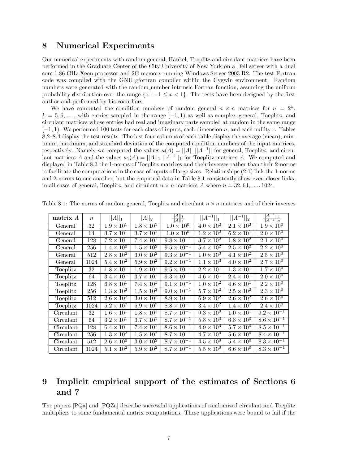#### **8 Numerical Experiments**

Our numerical experiments with random general, Hankel, Toeplitz and circulant matrices have been performed in the Graduate Center of the City University of New York on a Dell server with a dual core 1.86 GHz Xeon processor and 2G memory running Windows Server 2003 R2. The test Fortran code was compiled with the GNU gfortran compiler within the Cygwin environment. Random numbers were generated with the random number intrinsic Fortran function, assuming the uniform probability distribution over the range  $\{x : -1 \leq x < 1\}$ . The tests have been designed by the first author and performed by his coauthors.

We have computed the condition numbers of random general  $n \times n$  matrices for  $n = 2^k$ ,  $k = 5, 6, \ldots$ , with entries sampled in the range  $[-1, 1)$  as well as complex general, Toeplitz, and circulant matrices whose entries had real and imaginary parts sampled at random in the same range [−1*,* 1). We performed 100 tests for each class of inputs, each dimension *n*, and each nullity *r*. Tables 8.2–8.4 display the test results. The last four columns of each table display the average (mean), minimum, maximum, and standard deviation of the computed condition numbers of the input matrices, respectively. Namely we computed the values  $\kappa(A) = ||A|| ||A^{-1}||$  for general, Toeplitz, and circulant matrices *A* and the values  $\kappa_1(A) = ||A||_1 ||A^{-1}||_1$  for Toeplitz matrices *A*. We computed and displayed in Table 8.3 the 1-norms of Toeplitz matrices and their inverses rather than their 2-norms to facilitate the computations in the case of inputs of large sizes. Relationships (2.1) link the 1-norms and 2-norms to one another, but the empirical data in Table 8.1 consistently show even closer links, in all cases of general, Toeplitz, and circulant  $n \times n$  matrices A where  $n = 32, 64, \ldots, 1024$ .

| $\mathbf{matrix}\ A$ | $\boldsymbol{n}$ | $  A  _1$           | $  A  _2$                    | $  A  _1$<br>$A  _2$ | $  A^{-1}  _1$               | $  A^{-1}  _2$      | $ A^{-1} $<br>$  A^{-1}  _2$ |
|----------------------|------------------|---------------------|------------------------------|----------------------|------------------------------|---------------------|------------------------------|
| General              | 32               | $1.9 \times 10^{1}$ | $1.8 \times 10^{1}$          | $1.0 \times 10^{0}$  | $4.0 \times 10^{2}$          | $2.1 \times 10^2$   | $1.9 \times 10^{0}$          |
| General              | 64               | $3.7 \times 10^{1}$ | $3.7 \times 10^{1}$          | $1.0 \times 10^{0}$  | $1.2 \times 10^{2}$          | $6.2 \times 10^{1}$ | $2.0 \times 10^{0}$          |
| General              | 128              | $7.2 \times 10^1$   | $7.4 \times 10^{1}$          | $9.8 \times 10^{-1}$ | $3.7 \times 10^2$            | $1.8 \times 10^2$   | $2.\overline{1\times10^0}$   |
| General              | 256              | $1.4 \times 10^{2}$ | $1.5 \times 10^2$            | $9.5 \times 10^{-1}$ | $5.4 \times 10^2$            | $2.5 \times 10^2$   | $2.2 \times 10^{0}$          |
| General              | 512              | $2.8 \times 10^2$   | $3.0 \times 10^2$            | $9.3 \times 10^{-1}$ | $1.0 \times 10^{3}$          | $4.1 \times 10^{2}$ | $2.5 \times 10^{0}$          |
| General              | 1024             | $5.4 \times 10^2$   | $5.9 \times 10^{2}$          | $9.2 \times 10^{-1}$ | $1.1 \times 10^{3}$          | $4.0 \times 10^{2}$ | $2.7 \times 10^{0}$          |
| Toeplitz             | 32               | $1.8 \times 10^{1}$ | $1.9 \times 10^{1}$          | $9.5 \times 10^{-1}$ | $\overline{2.2 \times 10^1}$ | $1.3 \times 10^{1}$ | $1.7 \times 10^{0}$          |
| Toeplitz             | 64               | $3.4 \times 10^{1}$ | $3.7 \times 10^{1}$          | $9.3 \times 10^{-1}$ | $4.6 \times 10^{1}$          | $2.4 \times 10^{1}$ | $2.0 \times 10^{0}$          |
| Toeplitz             | 128              | $6.8 \times 10^{1}$ | $7.4 \times 10^{1}$          | $9.1 \times 10^{-1}$ | $1.0 \times 10^2$            | $4.6 \times 10^{1}$ | $2.2 \times 10^{0}$          |
| Toeplitz             | 256              | $1.3 \times 10^2$   | $1.5 \times 10^2$            | $9.0 \times 10^{-1}$ | $\overline{5.7\times10^2}$   | $2.5 \times 10^2$   | $2.3 \times 10^{0}$          |
| Toeplitz             | 512              | $2.6 \times 10^2$   | $3.0 \times 10^2$            | $8.9 \times 10^{-1}$ | $6.9 \times 10^2$            | $2.6 \times 10^2$   | $2.6 \times 10^{0}$          |
| Toeplitz             | 1024             | $5.2 \times 10^2$   | $5.9 \times 10^{2}$          | $8.8 \times 10^{-1}$ | $\overline{3.4\times10^2}$   | $1.4 \times 10^2$   | $2.4 \times 10^{0}$          |
| Circulant            | 32               | $1.6 \times 10^{1}$ | $1.8 \times 10^{1}$          | $8.7 \times 10^{-1}$ | $9.3 \times 10^{0}$          | $1.0 \times 10^{1}$ | $9.2 \times 10^{-1}$         |
| Circulant            | 64               | $3.2 \times 10^{1}$ | $3.7 \times 10^{1}$          | $8.7 \times 10^{-1}$ | $5.8 \times 10^{0}$          | $6.8 \times 10^{0}$ | $8.6 \times 10^{-1}$         |
| Circulant            | 128              | $6.4 \times 10^{1}$ | $\overline{7.4 \times 10^1}$ | $8.6 \times 10^{-1}$ | $4.9 \times 10^{0}$          | $5.7 \times 10^{0}$ | $8.5 \times 10^{-1}$         |
| Circulant            | 256              | $1.3 \times 10^2$   | $1.5 \times 10^2$            | $8.7 \times 10^{-1}$ | $4.7 \times 10^{0}$          | $5.6 \times 10^{0}$ | $8.4 \times 10^{-1}$         |
| Circulant            | 512              | $2.6 \times 10^2$   | $3.0 \times 10^{2}$          | $8.7 \times 10^{-1}$ | $4.5 \times 10^{0}$          | $5.4 \times 10^{0}$ | $8.3 \times 10^{-1}$         |
| Circulant            | 1024             | $5.1 \times 10^{2}$ | $5.9 \times 10^2$            | $8.7 \times 10^{-1}$ | $5.5 \times 10^{0}$          | $6.6 \times 10^{0}$ | $8.3 \times 10^{-1}$         |

Table 8.1: The norms of random general, Toeplitz and circulant  $n \times n$  matrices and of their inverses

### **9 Implicit empirical support of the estimates of Sections 6 and 7**

The papers [PQa] and [PQZa] describe successful applications of randomized circulant and Toeplitz multipliers to some fundamental matrix computations. These applications were bound to fail if the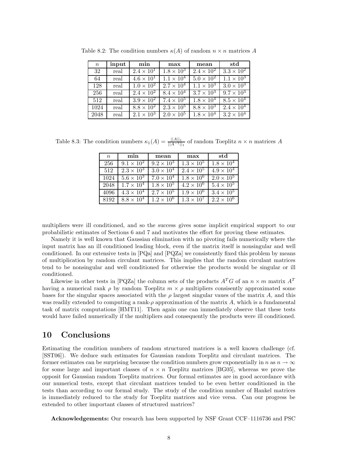| $\boldsymbol{n}$ | input | min                 | max                 | mean                | std                 |
|------------------|-------|---------------------|---------------------|---------------------|---------------------|
| 32               | real  | $2.4 \times 10^{1}$ | $1.8 \times 10^3$   | $2.4 \times 10^{2}$ | $3.3 \times 10^2$   |
| 64               | real  | $4.6 \times 10^{1}$ | $1.1 \times 10^4$   | $5.0 \times 10^2$   | $1.1 \times 10^{3}$ |
| 128              | real  | $1.0 \times 10^2$   | $2.7 \times 10^{4}$ | $1.1 \times 10^{3}$ | $3.0 \times 10^3$   |
| 256              | real  | $2.4 \times 10^{2}$ | $8.4 \times 10^{4}$ | $3.7 \times 10^3$   | $9.7 \times 10^3$   |
| 512              | real  | $3.9 \times 10^2$   | $7.4 \times 10^{5}$ | $1.8 \times 10^{4}$ | $8.5 \times 10^4$   |
| 1024             | real  | $8.8 \times 10^2$   | $2.3 \times 10^{5}$ | $8.8 \times 10^3$   | $2.4 \times 10^{4}$ |
| 2048             | real  | $2.1 \times 10^{3}$ | $2.0 \times 10^{5}$ | $1.8 \times 10^4$   | $3.2 \times 10^{4}$ |

Table 8.2: The condition numbers  $\kappa(A)$  of random  $n \times n$  matrices A

Table 8.3: The condition numbers  $\kappa_1(A) = \frac{||A||_1}{||A-1||_1}$  of random Toeplitz  $n \times n$  matrices A

| $\boldsymbol{n}$ | min                 | mean                | max                 | std                 |
|------------------|---------------------|---------------------|---------------------|---------------------|
| 256              | $9.1 \times 10^{2}$ | $9.2 \times 10^{3}$ | $1.3 \times 10^5$   | $1.8 \times 10^{4}$ |
| 512              | $2.3 \times 10^{3}$ | $3.0 \times 10^{4}$ | $2.4 \times 10^{5}$ | $4.9 \times 10^{4}$ |
| 1024             | $5.6 \times 10^3$   | $7.0 \times 10^{4}$ | $1.8 \times 10^6$   | $2.0 \times 10^{5}$ |
| 2048             | $1.7 \times 10^4$   | $1.8 \times 10^5$   | $4.2 \times 10^6$   | $5.4 \times 10^{5}$ |
| 4096             | $4.3 \times 10^{4}$ | $2.7 \times 10^{5}$ | $1.9 \times 10^{6}$ | $3.4 \times 10^5$   |
| 8192             | $8.8 \times 10^4$   | $1.2 \times 10^6$   | $1.3 \times 10^7$   | $2.2 \times 10^6$   |

multipliers were ill conditioned, and so the success gives some implicit empirical support to our probabilistic estimates of Sections 6 and 7 and motivates the effort for proving these estimates.

Namely it is well known that Gaussian elimination with no pivoting fails numerically where the input matrix has an ill conditioned leading block, even if the matrix itself is nonsingular and well conditioned. In our extensive tests in  $[PQa]$  and  $[PQZa]$  we consistently fixed this problem by means of multiplication by random circulant matrices. This implies that the random circulant matrices tend to be nonsingular and well conditioned for otherwise the products would be singular or ill conditioned.

Likewise in other tests in [PQZa] the column sets of the products  $A^T G$  of an  $n \times m$  matrix  $A^T$ having a numerical rank  $\rho$  by random Toeplitz  $m \times \rho$  multipliers consisently approximated some bases for the singular spaces associated with the *ρ* largest singular vaues of the matrix *A*, and this was readily extended to computing a rank-*ρ* approximation of the matrix *A*, which is a fundamental task of matrix computations [HMT11]. Then again one can immediately observe that these tests would have failed numerically if the multipliers and consequently the products were ill conditioned.

#### **10 Conclusions**

Estimating the condition numbers of random structured matrices is a well known challenge (cf. [SST06]). We deduce such estimates for Gaussian random Toeplitz and circulant matrices. The former estimates can be surprising because the condition numbers grow exponentially in *n* as  $n \to \infty$ for some large and important classes of  $n \times n$  Toeplitz matrices [BG05], whereas we prove the opposit for Gaussian random Toeplitz matrices. Our formal estimates are in good accordance with our numerical tests, except that circulant matrices tended to be even better conditioned in the tests than according to our formal study. The study of the condition number of Hankel matrices is immediately reduced to the study for Toeplitz matrices and vice versa. Can our progress be extended to other important classes of structured matrices?

**Acknowledgements:** Our research has been supported by NSF Grant CCF–1116736 and PSC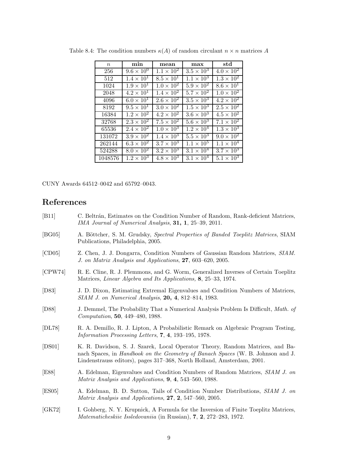| $\,n$   | min                 | mean                | max                        | std                 |
|---------|---------------------|---------------------|----------------------------|---------------------|
| 256     | $9.6 \times 10^{0}$ | $1.1 \times 10^{2}$ | $3.5 \times 10^3$          | $4.0 \times 10^{2}$ |
| 512     | $1.4 \times 10^{1}$ | $8.5 \times 10^{1}$ | $1.1 \times 10^{3}$        | $1.3 \times 10^2$   |
| 1024    | $1.9 \times 10^{1}$ | $1.0 \times 10^{2}$ | $5.9 \times 10^{2}$        | $8.6 \times 10^{1}$ |
| 2048    | $4.2 \times 10^{1}$ | $1.4 \times 10^{2}$ | $5.7 \times 10^{2}$        | $1.0 \times 10^{2}$ |
| 4096    | $6.0 \times 10^{1}$ | $2.6 \times 10^{2}$ | $3.5 \times 10^{3}$        | $4.2 \times 10^{2}$ |
| 8192    | $9.5 \times 10^{1}$ | $3.0 \times 10^2$   | $1.5 \times 10^{3}$        | $2.5 \times 10^2$   |
| 16384   | $1.2 \times 10^{2}$ | $4.2 \times 10^{2}$ | $3.6 \times 10^{3}$        | $4.5 \times 10^{2}$ |
| 32768   | $2.3 \times 10^{2}$ | $7.5 \times 10^{2}$ | $5.6 \times 10^{3}$        | $7.1 \times 10^{2}$ |
| 65536   | $2.4 \times 10^{2}$ | $1.0 \times 10^3$   | $1.2 \times 10^{4}$        | $1.3 \times 10^3$   |
| 131072  | $3.9 \times 10^2$   | $1.4 \times 10^3$   | $5.5 \times 10^{3}$        | $9.0 \times 10^{2}$ |
| 262144  | $6.3 \times 10^2$   | $3.7 \times 10^3$   | $1.1 \times 10^{5}$        | $1.1 \times 10^{4}$ |
| 524288  | $8.0 \times 10^2$   | $3.2 \times 10^3$   | $3.1 \times 10^4$          | $3.7 \times 10^3$   |
| 1048576 | $1.2 \times 10^{3}$ | $4.8 \times 10^3$   | $3.\overline{1\times10^4}$ | $5.1 \times 10^{3}$ |

Table 8.4: The condition numbers  $\kappa(A)$  of random circulant  $n \times n$  matrices A

CUNY Awards 64512–0042 and 65792–0043.

#### **References**

- [B11] C. Beltrán, Estimates on the Condition Number of Random, Rank-deficient Matrices, *IMA Journal of Numerical Analysis*, **31, 1**, 25–39, 2011.
- [BG05] A. Böttcher, S. M. Grudsky, *Spectral Properties of Banded Toeplitz Matrices*, SIAM Publications, Philadelphia, 2005.
- [CD05] Z. Chen, J. J. Dongarra, Condition Numbers of Gaussian Random Matrices, *SIAM. J. on Matrix Analysis and Applications*, **27**, 603–620, 2005.
- [CPW74] R. E. Cline, R. J. Plemmons, and G. Worm, Generalized Inverses of Certain Toeplitz Matrices, *Linear Algebra and Its Applications,* **8**, 25–33, 1974.
- [D83] J. D. Dixon, Estimating Extremal Eigenvalues and Condition Numbers of Matrices, *SIAM J. on Numerical Analysis*, **20, 4**, 812–814, 1983.
- [D88] J. Demmel, The Probability That a Numerical Analysis Problem Is Difficult, *Math. of Computation*, **50**, 449–480, 1988.
- [DL78] R. A. Demillo, R. J. Lipton, A Probabilistic Remark on Algebraic Program Testing, *Information Processing Letters*, **7**, **4**, 193–195, 1978.
- [DS01] K. R. Davidson, S. J. Szarek, Local Operator Theory, Random Matrices, and Banach Spaces, in *Handbook on the Geometry of Banach Spaces* (W. B. Johnson and J. Lindenstrauss editors), pages 317–368, North Holland, Amsterdam, 2001.
- [E88] A. Edelman, Eigenvalues and Condition Numbers of Random Matrices, *SIAM J. on Matrix Analysis and Applications*, **9**, **4**, 543–560, 1988.
- [ES05] A. Edelman, B. D. Sutton, Tails of Condition Number Distributions, *SIAM J. on Matrix Analysis and Applications*, **27**, **2**, 547–560, 2005.
- [GK72] I. Gohberg, N. Y. Krupnick, A Formula for the Inversion of Finite Toeplitz Matrices, *Matematicheskiie Issledovaniia* (in Russian), **7**, **2**, 272–283, 1972.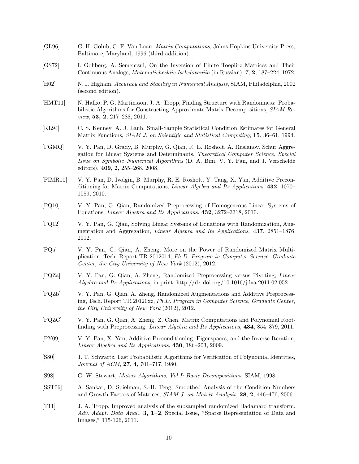- [GL96] G. H. Golub, C. F. Van Loan, *Matrix Computations*, Johns Hopkins University Press, Baltimore, Maryland, 1996 (third addition).
- [GS72] I. Gohberg, A. Sementsul, On the Inversion of Finite Toeplitz Matrices and Their Continuous Analogs, *Matematicheskiie Issledovaniia* (in Russian), **7**, **2**, 187–224, 1972.
- [H02] N. J. Higham, *Accuracy and Stability in Numerical Analysis*, SIAM, Philadelphia, 2002 (second edition).
- [HMT11] N. Halko, P. G. Martinsson, J. A. Tropp, Finding Structure with Randomness: Probabilistic Algorithms for Constructing Approximate Matrix Decompositions, *SIAM Review*, **53, 2**, 217–288, 2011.
- [KL94] C. S. Kenney, A. J. Laub, Small-Sample Statistical Condition Estimates for General Matrix Functions, *SIAM J. on Scientific and Statistical Computing*, **15**, 36–61, 1994.
- [PGMQ] V. Y. Pan, D. Grady, B. Murphy, G. Qian, R. E. Rosholt, A. Ruslanov, Schur Aggregation for Linear Systems and Determinants, *Theoretical Computer Science*, *Special Issue on Symbolic–Numerical Algorithms* (D. A. Bini, V. Y. Pan, and J. Verschelde editors), **409**, **2**, 255–268, 2008.
- [PIMR10] V. Y. Pan, D. Ivolgin, B. Murphy, R. E. Rosholt, Y. Tang, X. Yan, Additive Preconditioning for Matrix Computations, *Linear Algebra and Its Applications*, **432**, 1070– 1089, 2010.
- [PQ10] V. Y. Pan, G. Qian, Randomized Preprocessing of Homogeneous Linear Systems of Equations, *Linear Algebra and Its Applications*, **432**, 3272–3318, 2010.
- [PQ12] V. Y. Pan, G. Qian, Solving Linear Systems of Equations with Randomization, Augmentation and Aggregation, *Linear Algebra and Its Applications*, **437**, 2851–1876, 2012.
- [PQa] V. Y. Pan, G. Qian, A. Zheng, More on the Power of Randomized Matrix Multiplication, Tech. Report TR 2012014, *Ph.D. Program in Computer Science*, *Graduate Center, the City University of New York* (2012), 2012.
- [PQZa] V. Y. Pan, G. Qian, A. Zheng, Randomized Preprocessing versus Pivoting, *Linear Algebra and Its Applications*, in print. http://dx.doi.org/10.1016/j.laa.2011.02.052
- [PQZb] V. Y. Pan, G. Qian, A. Zheng, Randomized Augmentations and Additive Preprocessing, Tech. Report TR 20120xz, *Ph.D. Program in Computer Science*, *Graduate Center, the City University of New York* (2012), 2012.
- [PQZC] V. Y. Pan, G. Qian, A. Zheng, Z. Chen, Matrix Computations and Polynomial Rootfinding with Preprocessing, *Linear Algebra and Its Applications*, **434**, 854–879, 2011.
- [PY09] V. Y. Pan, X. Yan, Additive Preconditioning, Eigenspaces, and the Inverse Iteration, *Linear Algebra and Its Applications*, **430**, 186–203, 2009.
- [S80] J. T. Schwartz, Fast Probabilistic Algorithms for Verification of Polynomial Identities, *Journal of ACM*, **27**, **4**, 701–717, 1980.
- [S98] G. W. Stewart, *Matrix Algorithms, Vol I: Basic Decompositions*, SIAM, 1998.
- [SST06] A. Sankar, D. Spielman, S.-H. Teng, Smoothed Analysis of the Condition Numbers and Growth Factors of Matrices, *SIAM J. on Matrix Analysis*, **28**, **2**, 446–476, 2006.
- [T11] J. A. Tropp, Improved analysis of the subsampled randomized Hadamard transform, *Adv. Adapt. Data Anal.*, **3, 1–2**, Special Issue, "Sparse Representation of Data and Images," 115-126, 2011.